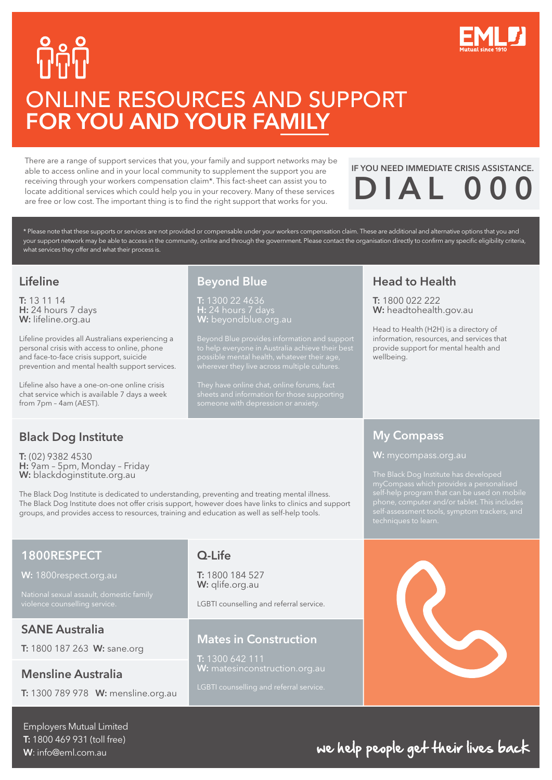

# ONLINE RESOURCES AND SUPPORT FOR YOU AND YOUR FAMILY

There are a range of support services that you, your family and support networks may be able to access online and in your local community to supplement the support you are receiving through your workers compensation claim\*. This fact-sheet can assist you to locate additional services which could help you in your recovery. Many of these services are free or low cost. The important thing is to find the right support that works for you.

# IF YOU NEED IMMEDIATE CRISIS ASSISTANCE.  $DIAL$

\* Please note that these supports or services are not provided or compensable under your workers compensation claim. These are additional and alternative options that you and your support network may be able to access in the community, online and through the government. Please contact the organisation directly to confirm any specific eligibility criteria, what services they offer and what their process is.

#### Lifeline

T: 13 11 14 H: 24 hours 7 days W: <lifeline.org.au>

Lifeline provides all Australians experiencing a personal crisis with access to online, phone and face-to-face crisis support, suicide prevention and mental health support services.

Lifeline also have a one-on-one online crisis chat service which is available 7 days a week from 7pm – 4am (AEST).

#### Beyond Blue T: 1300 22 4636

H: 24 hours 7 days **W:** beyondblue.org.au

Beyond Blue provides information and support

#### Head to Health

T: 1800 022 222 W:<headtohealth.gov.au>

Head to Health (H2H) is a directory of information, resources, and services that provide support for mental health and wellbeing.

#### My Compass



#### Black Dog Institute

T: (02) 9382 4530 H: 9am – 5pm, Monday – Friday W: <blackdoginstitute.org.au>

The Black Dog Institute is dedicated to understanding, preventing and treating mental illness. The Black Dog Institute does not offer crisis support, however does have links to clinics and support groups, and provides access to resources, training and education as well as self-help tools.

#### 1800RESPECT

W:<1800respect.org.au>

SANE Australia

T: 1800 187 263 W: sane.org

#### Mensline Australia

T: 1300 789 978 W: mensline.org.au

#### Q-Life

T: 1800 184 527 W: glife.org.au

LGBTI counselling and referral service.

#### Mates in Construction

T: 1300 642 111 W: matesinconstruction.org.au

Employers Mutual Limited T: 1800 469 931 (toll free) W: info@eml.com.au

## we help people get their lives back